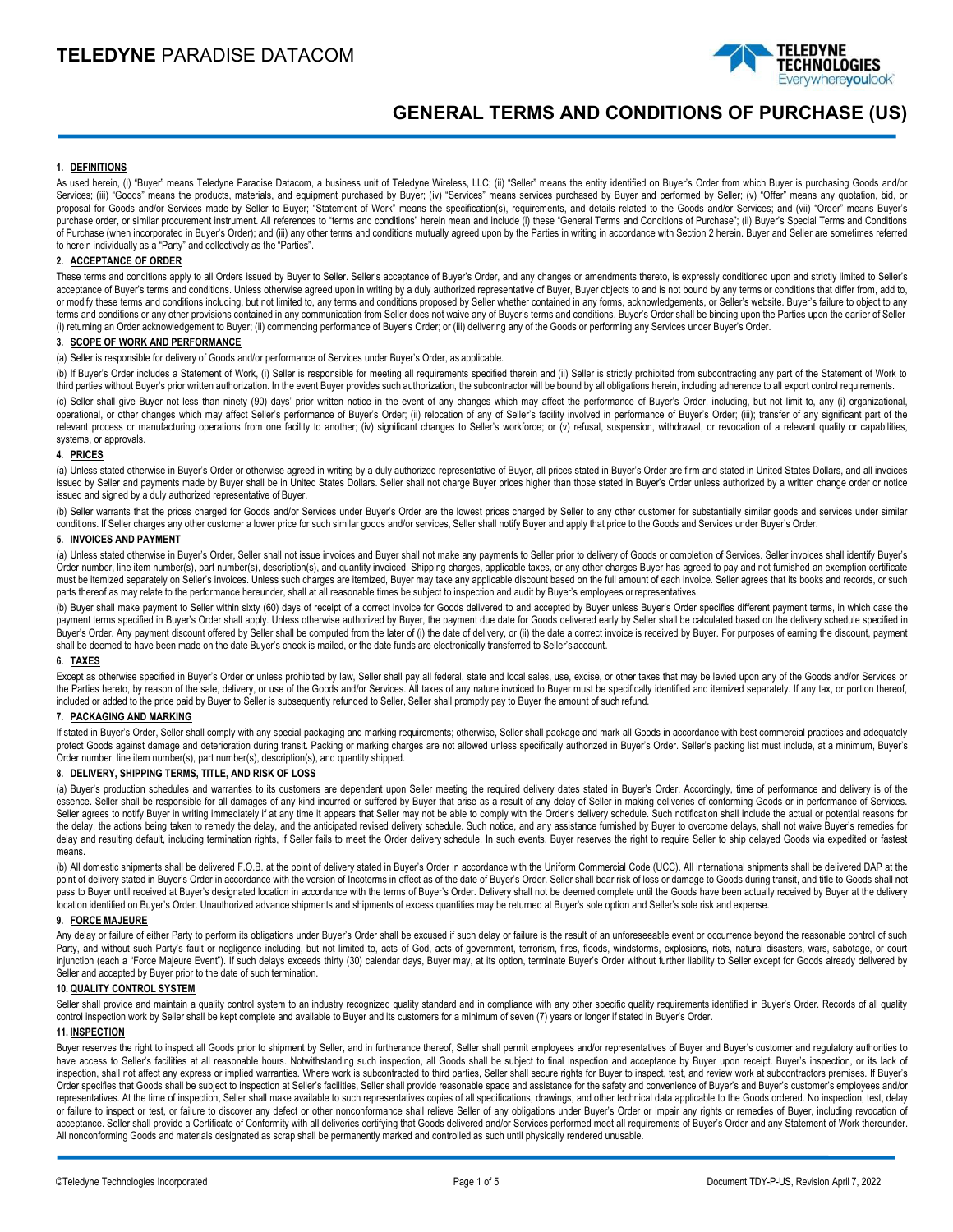

# **GENERAL TERMS AND CONDITIONS OF PURCHASE (US)**

# **1. DEFINITIONS**

As used herein, (i) "Buyer" means Teledyne Paradise Datacom, a business unit of Teledyne Wireless, LLC; (ii) "Seller" means the entity identified on Buyer's Order from which Buyer is purchasing Goods and/or Services; (iii) "Goods" means the products, materials, and equipment purchased by Buyer; (iv) "Services" means services purchased by Buyer and performed by Seller; (v) "Offer" means any quotation, bid, or proposal for Goods and/or Services made by Seller to Buyer; "Statement of Work" means the specification(s), requirements, and details related to the Goods and/or Services; and (vii) "Order" means Buyer's purchase order, or similar procurement instrument. All references to "terms and conditions" herein mean and include (i) these "General Terms and Conditions of Purchase"; (ii) Buyer's Special Terms and Conditions of Purchase (when incorporated in Buyer's Order); and (iii) any other terms and conditions mutually agreed upon by the Parties in writing in accordance with Section 2 herein. Buyer and Seller are sometimes referred to herein individually as a "Party" and collectively as the "Parties".

# **2. ACCEPTANCE OF ORDER**

These terms and conditions apply to all Orders issued by Buyer to Seller's acceptance of Buyer's Order, and any changes or amendments thereto, is expressly conditioned upon and strictly limited to Seller's acceptance of Buyer's terms and conditions. Unless otherwise agreed upon in writing by a duly authorized representative of Buyer, Buyer objects to and is not bound by any terms or conditions that differ from, add to, or modify these terms and conditions including, but not limited to, any terms and conditions proposed by Seller whether contained in any forms, acknowledgements, or Seller's website. Buyer's failure to object to any terms and conditions or any other provisions contained in any communication from Seller does not waive any of Buyer's terms and conditions. Buyer's Order shall be binding upon the Parties upon the earlier of Seller (i) returning an Order acknowledgement to Buyer; (ii) commencing performance of Buyer's Order; or (iii) delivering any of the Goods or performing any Services under Buyer's Order.

# **3. SCOPE OF WORK AND PERFORMANCE**

(a) Seller is responsible for delivery of Goods and/or performance of Services under Buyer's Order, as applicable.

(b) If Buyer's Order includes a Statement of Work, (i) Seller is responsible for meeting all requirements specified therein and (ii) Seller is strictly prohibited from subcontracting any part of the Statement of Work to third parties without Buyer's prior written authorization. In the event Buyer provides such authorization, the subcontractor will be bound by all obligations herein, including adherence to all export control requirements.

(c) Seller shall give Buyer not less than ninety (90) days' prior written notice in the event of any changes which may affect the performance of Buyer's Order, including, but not limit to, any (i) organizational, operational, or other changes which may affect Seller's performance of Buyer's Order; (ii) relocation of any of Seller's facility involved in performance of Buyer's Order; (iii); transfer of any significant part of the relevant process or manufacturing operations from one facility to another; (iv) significant changes to Seller's workforce; or (v) refusal, suspension, withdrawal, or revocation of a relevant quality or capabilities, systems, or approvals.

### **4. PRICES**

(a) Unless stated otherwise in Buyer's Order or otherwise agreed in writing by a duly authorized representative of Buyer, all prices stated in Buyer's Order are firm and stated in United States Dollars, and all invoices issued by Seller and payments made by Buyer shall be in United States Dollars. Seller shall not charge Buyer prices higher than those stated in Buyer's Order unless authorized by a written change order or notice issued and signed by a duly authorized representative of Buyer.

(b) Seller warrants that the prices charged for Goods and/or Services under Buyer's Order are the lowest prices charged by Seller to any other customer for substantially similar goods and services under similar conditions. If Seller charges any other customer a lower price for such similar goods and/or services, Seller shall notify Buyer and apply that price to the Goods and Services under Buyer's Order.

# **5. INVOICES AND PAYMENT**

(a) Unless stated otherwise in Buyer's Order, Seller shall not issue invoices and Buyer shall not make any payments to Seller prior to delivery of Goods or completion of Services. Seller invoices shall identify Buyer's Order number, line item number(s), part number(s), description(s), and quantity invoiced. Shipping charges, applicable taxes, or any other charges Buyer has agreed to pay and not furnished an exemption certificate must be itemized separately on Seller's invoices. Unless such charges are itemized, Buyer may take any applicable discount based on the full amount of each invoice. Seller agrees that its books and records, or such parts thereof as may relate to the performance hereunder, shall at all reasonable times be subject to inspection and audit by Buyer's employees orrepresentatives.

(b) Buyer shall make payment to Seller within sixty (60) days of receipt of a correct invoice for Goods delivered to and accepted by Buyer unless Buyer's Order specifies different payment terms, in which case the payment terms specified in Buyer's Order shall apply. Unless otherwise authorized by Buyer, the payment due date for Goods delivered early by Seller shall be calculated based on the delivery schedule specified in Buyer's Order. Any payment discount offered by Seller shall be computed from the later of (i) the date of delivery, or (ii) the date a correct invoice is received by Buyer. For purposes of earning the discount, payment shall be deemed to have been made on the date Buyer's check is mailed, or the date funds are electronically transferred to Seller's account.

### **6. TAXES**

Except as otherwise specified in Buyer's Order or unless prohibited by law, Seller shall pay all federal, state and local sales, use, excise, or other taxes that may be levied upon any of the Goods and/or Services or the Parties hereto, by reason of the sale, delivery, or use of the Goods and/or Services. All taxes of any nature invoiced to Buyer must be specifically identified and itemized separately. If any tax, or portion thereof, included or added to the price paid by Buyer to Seller is subsequently refunded to Seller, Seller shall promptly pay to Buyer the amount of such refund.

# **7. PACKAGING AND MARKING**

If stated in Buyer's Order, Seller shall comply with any special packaging and marking requirements; otherwise, Seller shall package and mark all Goods in accordance with best commercial practices and adequately protect Goods against damage and deterioration during transit. Packing or marking charges are not allowed unless specifically authorized in Buyer's Order. Seller's packing list must include, at a minimum, Buyer's Order number, line item number(s), part number(s), description(s), and quantity shipped.

# **8. DELIVERY, SHIPPING TERMS, TITLE, AND RISK OF LOSS**

(a) Buyer's production schedules and warranties to its customers are dependent upon Seller meeting the required delivery dates stated in Buyer's Order. Accordingly, time of performance and delivery is of the essence. Seller shall be responsible for all damages of any kind incurred or suffered by Buyer that arise as a result of any delay of Seller in making deliveries of conforming Goods or in performance of Services. Seller agrees to notify Buyer in writing immediately if at any time it appears that Seller may not be able to comply with the Order's delivery schedule. Such notification shall include the actual or potential reasons for the delay, the actions being taken to remedy the delay, and the anticipated revised delivery schedule. Such notice, and any assistance furnished by Buyer to overcome delays, shall not waive Buyer's remedies for delay and resulting default, including termination rights, if Seller fails to meet the Order delivery schedule. In such events, Buyer reserves the right to require Seller to ship delayed Goods via expedited or fastest means.

(b) All domestic shipments shall be delivered F.O.B. at the point of delivery stated in Buyer's Order in accordance with the Uniform Commercial Code (UCC). All international shipments shall be delivered DAP at the point of delivery stated in Buyer's Order in accordance with the version of Incoterms in effect as of the date of Buyer's Order. Seller shall bear risk of loss or damage to Goods during transit, and title to Goods shall no pass to Buyer until received at Buyer's designated location in accordance with the terms of Buyer's Order. Delivery shall not be deemed complete until the Goods have been actually received by Buyer at the delivery location identified on Buyer's Order. Unauthorized advance shipments and shipments of excess quantities may be returned at Buyer's sole option and Seller's sole risk and expense.

#### **9. FORCE MAJEURE**

Any delay or failure of either Party to perform its obligations under Buyer's Order shall be excused if such delay or failure is the result of an unforeseeable event or occurrence beyond the reasonable control of such Party, and without such Party's fault or negligence including, but not limited to, acts of God, acts of government, terrorism, fires, floods, windstorms, explosions, riots, natural disasters, wars, sabotage, or court injunction (each a "Force Majeure Event"). If such delays exceeds thirty (30) calendar days, Buyer may, at its option, terminate Buyer's Order without further liability to Seller except for Goods already delivered by Seller and accepted by Buyer prior to the date of such termination.

#### **10. QUALITY CONTROL SYSTEM**

Seller shall provide and maintain a quality control system to an industry recognized quality standard and in compliance with any other specific quality requirements identified in Buyer's Order. Records of all quality control inspection work by Seller shall be kept complete and available to Buyer and its customers for a minimum of seven (7) years or longer if stated in Buyer's Order.

### **11. INSPECTION**

Buyer reserves the right to inspect all Goods prior to shipment by Seller, and in furtherance thereof, Seller shall permit employees and/or representatives of Buyer and Buyer's customer and regulatory authorities to have access to Seller's facilities at all reasonable hours. Notwithstanding such inspection, all Goods shall be subject to final inspection and acceptance by Buyer upon receipt. Buyer's inspection, or its lack of inspection, shall not affect any express or implied warranties. Where work is subcontracted to third parties, Seller shall secure rights for Buyer to inspect, test, and review work at subcontractors premises. If Buyer's Order specifies that Goods shall be subject to inspection at Seller's facilities, Seller shall provide reasonable space and assistance for the safety and convenience of Buyer's and Buyer's customer's employees and/or representatives. At the time of inspection, Seller shall make available to such representatives copies of all specifications, drawings, and other technical data applicable to the Goods ordered. No inspection, test, delay or failure to inspect or test, or failure to discover any defect or other nonconformance shall relieve Seller of any obligations under Buyer's Order or impair any rights or remedies of Buyer, including revocation of acceptance. Seller shall provide a Certificate of Conformity with all deliveries certifying that Goods delivered and/or Services performed meet all requirements of Buyer's Order and any Statement of Work thereunder. All nonconforming Goods and materials designated as scrap shall be permanently marked and controlled as such until physically rendered unusable.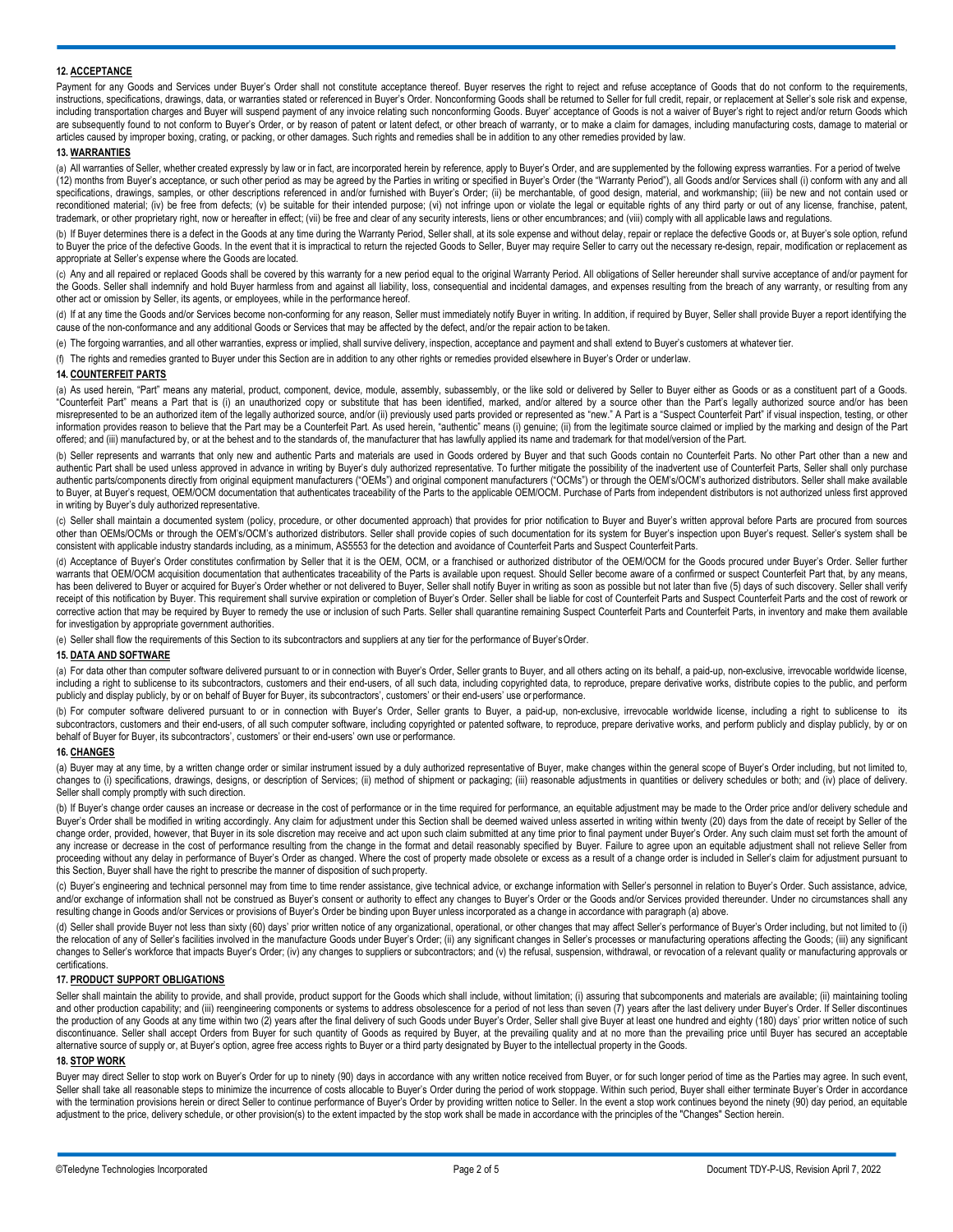# **12. ACCEPTANCE**

Payment for any Goods and Services under Buyer's Order shall not constitute acceptance thereof. Buyer reserves the right to reject and refuse acceptance of Goods that do not conform to the requirements, instructions, specifications, drawings, data, or warranties stated or referenced in Buyer's Order. Nonconforming Goods shall be returned to Seller for full credit, repair, or replacement at Seller's sole risk and expense, including transportation charges and Buyer will suspend payment of any invoice relating such nonconforming Goods. Buyer' acceptance of Goods is not a waiver of Buyer's right to reject and/or return Goods which are subsequently found to not conform to Buyer's Order, or by reason of patent or latent defect, or other breach of warranty, or to make a claim for damages, including manufacturing costs, damage to material or articles caused by improper boxing, crating, or packing, or other damages. Such rights and remedies shall be in addition to any other remedies provided by law.

# **13. WARRANTIES**

(a) All warranties of Seller, whether created expressly by law or in fact, are incorporated herein by reference, apply to Buyer's Order, and are supplemented by the following express warranties. For a period of twelve (12) months from Buyer's acceptance, or such other period as may be agreed by the Parties in writing or specified in Buyer's Order (the "Warranty Period"), all Goods and/or Services shall (i) conform with any and all specifications, drawings, samples, or other descriptions referenced in and/or furnished with Buyer's Order; (ii) be merchantable, of good design, material, and workmanship; (iii) be new and not contain used or reconditioned material; (iv) be free from defects; (v) be suitable for their intended purpose; (vi) not infringe upon or violate the legal or equitable rights of any third party or out of any license, franchise, patent, trademark, or other proprietary right, now or hereafter in effect; (vii) be free and clear of any security interests, liens or other encumbrances; and (viii) comply with all applicable laws and regulations.

(b) If Buyer determines there is a defect in the Goods at any time during the Warranty Period, Seller shall, at its sole expense and without delay, repair or replace the defective Goods or, at Buyer's sole option, refund to Buyer the price of the defective Goods. In the event that it is impractical to return the rejected Goods to Seller, Buyer may require Seller to carry out the necessary re-design, repair, modification or replacement as appropriate at Seller's expense where the Goods are located.

(c) Any and all repaired or replaced Goods shall be covered by this warranty for a new period equal to the original Warranty Period. All obligations of Seller hereunder shall survive acceptance of and/or payment for the Goods. Seller shall indemnify and hold Buyer harmless from and against all liability, loss, consequential and incidental damages, and expenses resulting from the breach of any warranty, or resulting from any other act or omission by Seller, its agents, or employees, while in the performance hereof.

(d) If at any time the Goods and/or Services become non-conforming for any reason, Seller must immediately notify Buyer in writing. In addition, if required by Buyer, Seller shall provide Buyer a report identifying the cause of the non-conformance and any additional Goods or Services that may be affected by the defect, and/or the repair action to be taken.

(e) The forgoing warranties, and all other warranties, express or implied, shall survive delivery, inspection, acceptance and payment and shall extend to Buyer's customers at whatever tier.

(f) The rights and remedies granted to Buyer under this Section are in addition to any other rights or remedies provided elsewhere in Buyer's Order or underlaw.

# **14. COUNTERFEIT PARTS**

(a) As used herein, "Part" means any material, product, component, device, module, assembly, subassembly, or the like sold or delivered by Seller to Buyer either as Goods or as a constituent part of a Goods. "Counterfeit Part" means a Part that is (i) an unauthorized copy or substitute that has been identified, marked, and/or altered by a source other than the Part's legally authorized source and/or has been misrepresented to be an authorized item of the legally authorized source, and/or (ii) previously used parts provided or represented as "new." A Part is a "Suspect Counterfeit Part" if visual inspection, testing, or other information provides reason to believe that the Part may be a Counterfeit Part. As used herein, "authentic" means (i) genuine; (ii) from the legitimate source claimed or implied by the marking and design of the Part offered; and (iii) manufactured by, or at the behest and to the standards of, the manufacturer that has lawfully applied its name and trademark for that model/version of the Part.

(b) Seller represents and warrants that only new and authentic Parts and materials are used in Goods ordered by Buyer and that such Goods contain no Counterfeit Parts. No other Part other than a new and authentic Part shall be used unless approved in advance in writing by Buyer's duly authorized representative. To further mitigate the possibility of the inadvertent use of Counterfeit Parts, Seller shall only purchase authentic parts/components directly from original equipment manufacturers ("OEMs") and original component manufacturers ("OCMs") or through the OEM's/OCM's authorized distributors. Seller shall make available to Buyer, at Buyer's request, OEM/OCM documentation that authenticates traceability of the Parts to the applicable OEM/OCM. Purchase of Parts from independent distributors is not authorized unless first approved in writing by Buyer's duly authorized representative.

(c) Seller shall maintain a documented system (policy, procedure, or other documented approach) that provides for prior notification to Buyer and Buyer's written approval before Parts are procured from sources other than OEMs/OCMs or through the OEM's/OCM's authorized distributors. Seller shall provide copies of such documentation for its system for Buyer's inspection upon Buyer's request. Seller's system shall be consistent with applicable industry standards including, as a minimum, AS5553 for the detection and avoidance of Counterfeit Parts and Suspect Counterfeit Parts.

(d) Acceptance of Buyer's Order constitutes confirmation by Seller that it is the OEM, OCM, or a franchised or authorized distributor of the OEM/OCM for the Goods procured under Buyer's Order. Seller further warrants that OEM/OCM acquisition documentation that authenticates traceability of the Parts is available upon request. Should Seller become aware of a confirmed or suspect Counterfeit Part that, by any means, has been delivered to Buyer or acquired for Buyer's Order whether or not delivered to Buyer, Seller shall notify Buyer in writing as soon as possible but not later than five (5) days of such discovery. Seller shall verify receipt of this notification by Buyer. This requirement shall survive expiration or completion of Buyer's Order. Seller shall be liable for cost of Counterfeit Parts and Suspect Counterfeit Parts and the cost of rework or corrective action that may be required by Buyer to remedy the use or inclusion of such Parts. Seller shall quarantine remaining Suspect Counterfeit Parts and Counterfeit Parts, in inventory and make them available for investigation by appropriate government authorities

(e) Seller shall flow the requirements of this Section to its subcontractors and suppliers at any tier for the performance of Buyer'sOrder.

#### **15. DATA AND SOFTWARE**

(a) For data other than computer software delivered pursuant to or in connection with Buyer's Order, Seller grants to Buyer, and all others acting on its behalf, a paid-up, non-exclusive, irrevocable worldwide license, including a right to sublicense to its subcontractors, customers and their end-users, of all such data, including copyrighted data, to reproduce, prepare derivative works, distribute copies to the public, and perform publicly and display publicly, by or on behalf of Buyer for Buyer, its subcontractors', customers' or their end-users' use or performance.

(b) For computer software delivered pursuant to or in connection with Buyer's Order, Seller grants to Buyer, a paid-up, non-exclusive, irrevocable worldwide license, including a right to sublicense to its subcontractors, customers and their end-users, of all such computer software, including copyrighted or patented software, to reproduce, prepare derivative works, and perform publicly and display publicly, by or on behalf of Buyer for Buyer, its subcontractors', customers' or their end-users' own use or performance.

### **16. CHANGES**

(a) Buyer may at any time, by a written change order or similar instrument issued by a duly authorized representative of Buyer, make changes within the general scope of Buyer's Order including, but not limited to, changes to (i) specifications, drawings, designs, or description of Services; (ii) method of shipment or packaging; (iii) reasonable adjustments in quantities or delivery schedules or both; and (iv) place of delivery. Seller shall comply promptly with such direction.

(b) If Buyer's change order causes an increase or decrease in the cost of performance or in the time required for performance, an equitable adjustment may be made to the Order price and/or delivery schedule and Buyer's Order shall be modified in writing accordingly. Any claim for adjustment under this Section shall be deemed waived unless asserted in writing within twenty (20) days from the date of receipt by Seller of the change order, provided, however, that Buyer in its sole discretion may receive and act upon such claim submitted at any time prior to final payment under Buyer's Order. Any such claim must set forth the amount of any increase or decrease in the cost of performance resulting from the change in the format and detail reasonably specified by Buyer. Failure to agree upon an equitable adjustment shall not relieve Seller from proceeding without any delay in performance of Buyer's Order as changed. Where the cost of property made obsolete or excess as a result of a change order is included in Seller's claim for adjustment pursuant to this Section, Buyer shall have the right to prescribe the manner of disposition of such property.

(c) Buyer's engineering and technical personnel may from time to time render assistance, give technical advice, or exchange information with Seller's personnel in relation to Buyer's Order. Such assistance, advice, and/or exchange of information shall not be construed as Buyer's consent or authority to effect any changes to Buyer's Order or the Goods and/or Services provided thereunder. Under no circumstances shall any resulting change in Goods and/or Services or provisions of Buyer's Order be binding upon Buyer unless incorporated as a change in accordance with paragraph (a) above.

(d) Seller shall provide Buyer not less than sixty (60) days' prior written notice of any organizational, operational, or other changes that may affect Seller's performance of Buyer's Order including, but not limited to (i) the relocation of any of Seller's facilities involved in the manufacture Goods under Buyer's Order; (ii) any significant changes in Seller's processes or manufacturing operations affecting the Goods; (iii) any significant changes to Seller's workforce that impacts Buyer's Order; (iv) any changes to suppliers or subcontractors; and (v) the refusal, suspension, withdrawal, or revocation of a relevant quality or manufacturing approvals or certifications.

# **17. PRODUCT SUPPORT OBLIGATIONS**

Seller shall maintain the ability to provide, and shall provide, product support for the Goods which shall include, without limitation; (i) assuring that subcomponents and materials are available; (ii) maintaining tooling and other production capability; and (iii) reengineering components or systems to address obsolescence for a period of not less than seven (7) years after the last delivery under Buyer's Order. If Seller discontinues the production of any Goods at any time within two (2) years after the final delivery of such Goods under Buyer's Order, Seller shall give Buyer at least one hundred and eighty (180) days' prior written notice of such discontinuance. Seller shall accept Orders from Buyer for such quantity of Goods as required by Buyer, at the prevailing quality and at no more than the prevailing price until Buyer has secured an acceptable alternative source of supply or, at Buyer's option, agree free access rights to Buyer or a third party designated by Buyer to the intellectual property in the Goods.

# **18. STOP WORK**

Buyer may direct Seller to stop work on Buyer's Order for up to ninety (90) days in accordance with any written notice received from Buyer, or for such longer period of time as the Parties may agree. In such event, Seller shall take all reasonable steps to minimize the incurrence of costs allocable to Buyer's Order during the period of work stoppage. Within such period, Buyer shall either terminate Buyer's Order in accordance with the termination provisions herein or direct Seller to continue performance of Buyer's Order by providing written notice to Seller. In the event a stop work continues beyond the ninety (90) day period, an equitable adjustment to the price, delivery schedule, or other provision(s) to the extent impacted by the stop work shall be made in accordance with the principles of the "Changes" Section herein.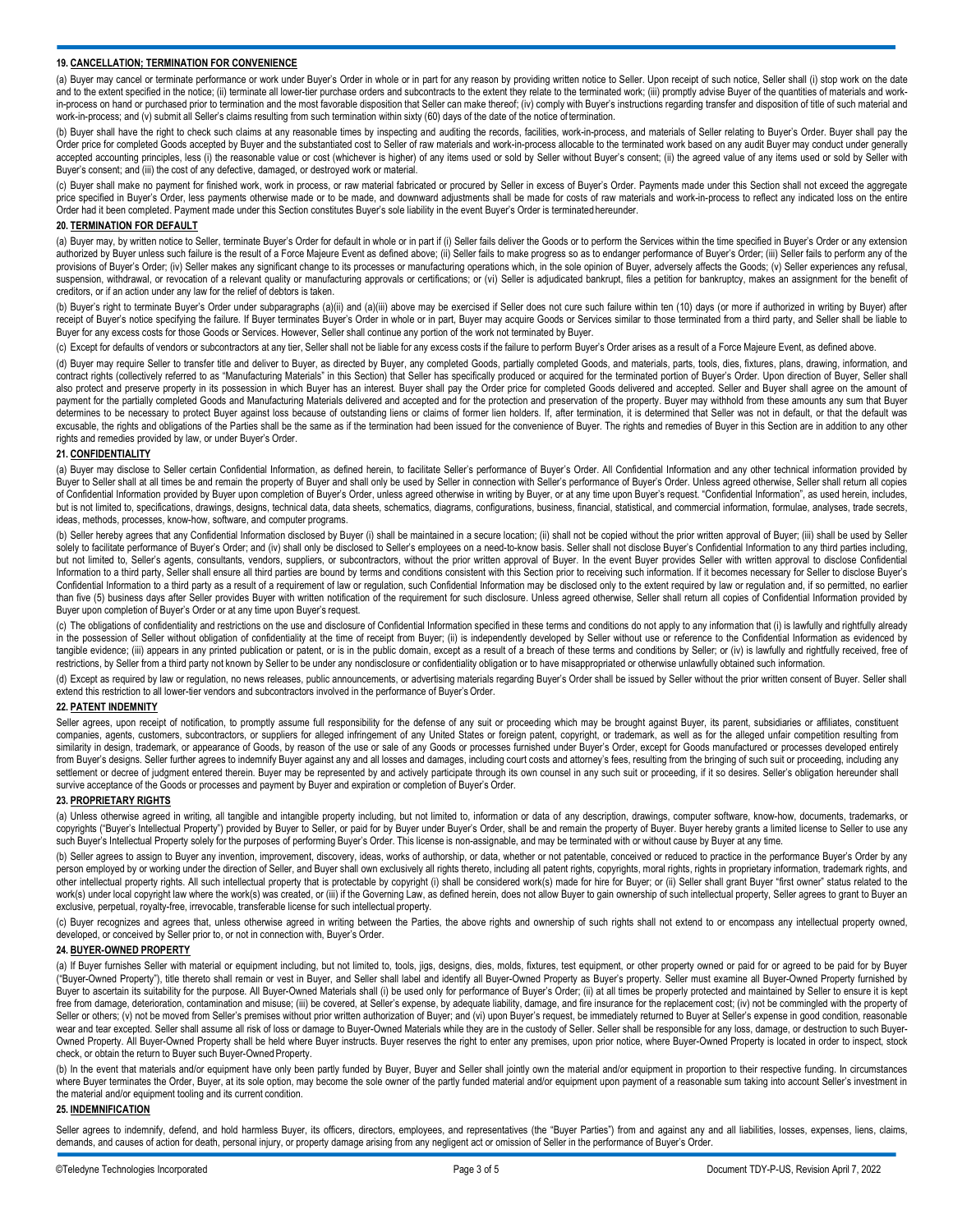### **19. CANCELLATION; TERMINATION FOR CONVENIENCE**

(a) Buyer may cancel or terminate performance or work under Buyer's Order in whole or in part for any reason by providing written notice to Seller. Upon receipt of such notice, Seller shall (i) stop work on the date and to the extent specified in the notice; (ii) terminate all lower-tier purchase orders and subcontracts to the extent they relate to the terminated work; (iii) promptly advise Buyer of the quantities of materials and wor in-process on hand or purchased prior to termination and the most favorable disposition that Seller can make thereof; (iv) comply with Buyer's instructions regarding transfer and disposition of title of such material and a work-in-process; and (v) submit all Seller's claims resulting from such termination within sixty (60) days of the date of the notice of termination.

(b) Buyer shall have the right to check such claims at any reasonable times by inspecting and auditing the records, facilities, work-in-process, and materials of Seller relating to Buyer's Order. Buyer shall pay the Order price for completed Goods accepted by Buyer and the substantiated cost to Seller of raw materials and work-in-process allocable to the terminated work based on any audit Buyer may conduct under generally accepted accounting principles, less (i) the reasonable value or cost (whichever is higher) of any items used or sold by Seller without Buyer's consent; (ii) the agreed value of any items used or sold by Seller with Buyer's consent; and (iii) the cost of any defective, damaged, or destroyed work or material

(c) Buyer shall make no payment for finished work, work in process, or raw material fabricated or procured by Seller in excess of Buyer's Order. Payments made under this Section shall not exceed the aggregate price specified in Buyer's Order, less payments otherwise made or to be made, and downward adjustments shall be made for costs of raw materials and work-in-process to reflect any indicated loss on the entire Order had it been completed. Payment made under this Section constitutes Buyer's sole liability in the event Buyer's Order is terminatedhereunder.

### **20. TERMINATION FOR DEFAULT**

(a) Buyer may, by written notice to Seller, terminate Buyer's Order for default in whole or in part if (i) Seller fails deliver the Goods or to perform the Services within the time specified in Buyer's Order or any extensi authorized by Buyer unless such failure is the result of a Force Majeure Event as defined above; (ii) Seller fails to make progress so as to endanger performance of Buyer's Order; (iii) Seller fails to perform any of the provisions of Buyer's Order; (iv) Seller makes any significant change to its processes or manufacturing operations which, in the sole opinion of Buyer, adversely affects the Goods; (v) Seller experiences any refusal, suspension, withdrawal, or revocation of a relevant quality or manufacturing approvals or certifications; or (vi) Seller is adjudicated bankrupt, files a petition for bankruptcy, makes an assignment for the benefit of creditors, or if an action under any law for the relief of debtors is taken.

(b) Buyer's right to terminate Buyer's Order under subparagraphs (a)(ii) and (a)(iii) above may be exercised if Seller does not cure such failure within ten (10) days (or more if authorized in writing by Buyer) after receipt of Buyer's notice specifying the failure. If Buyer terminates Buyer's Order in whole or in part, Buyer may acquire Goods or Services similar to those terminated from a third party, and Seller shall be liable to Buyer for any excess costs for those Goods or Services. However, Seller shall continue any portion of the work not terminated by Buyer.

(c) Except for defaults of vendors or subcontractors at any tier, Seller shall not be liable for any excess costs if the failure to perform Buyer's Order arises as a result of a Force Majeure Event, as defined above.

(d) Buyer may require Seller to transfer title and deliver to Buyer, as directed by Buyer, any completed Goods, partially completed Goods, and materials, parts, tools, dies, fixtures, plans, drawing, information, and contract rights (collectively referred to as "Manufacturing Materials" in this Section) that Seller has specifically produced or acquired for the terminated portion of Buyer's Order. Upon direction of Buyer, Seller shall also protect and preserve property in its possession in which Buyer has an interest. Buyer shall pay the Order price for completed Goods delivered and accepted. Seller and Buyer shall agree on the amount of payment for the partially completed Goods and Manufacturing Materials delivered and accepted and for the protection and preservation of the property. Buyer may withhold from these amounts any sum that Buyer determines to be necessary to protect Buyer against loss because of outstanding liens or claims of former lien holders. If, after termination, it is determined that Seller was not in default, or that the default was excusable, the rights and obligations of the Parties shall be the same as if the termination had been issued for the convenience of Buyer. The rights and remedies of Buyer in this Section are in addition to any other rights and remedies provided by law, or under Buyer's Order.

# **21. CONFIDENTIALITY**

(a) Buyer may disclose to Seller certain Confidential Information, as defined herein, to facilitate Seller's performance of Buyer's Order. All Confidential Information and any other technical information provided by Buyer to Seller shall at all times be and remain the property of Buyer and shall only be used by Seller in connection with Seller's performance of Buyer's Order. Unless agreed otherwise, Seller shall return all copies of Confidential Information provided by Buyer upon completion of Buyer's Order, unless agreed otherwise in writing by Buyer, or at any time upon Buyer's request. "Confidential Information", as used herein, includes, but is not limited to, specifications, drawings, designs, technical data, data sheets, schematics, diagrams, configurations, business, financial, statistical, and commercial information, formulae, analyses, trade secrets, ideas, methods, processes, know-how, software, and computer programs.

(b) Seller hereby agrees that any Confidential Information disclosed by Buyer (i) shall be maintained in a secure location; (ii) shall not be copied without the prior written approval of Buyer; (iii) shall be used by Selle solely to facilitate performance of Buyer's Order; and (iv) shall only be disclosed to Seller's employees on a need-to-know basis. Seller shall not disclose Buyer's Confidential Information to any third parties including, but not limited to, Seller's agents, consultants, vendors, suppliers, or subcontractors, without the prior written approval of Buyer. In the event Buyer provides Seller with written approval to disclose Confidential Information to a third party, Seller shall ensure all third parties are bound by terms and conditions consistent with this Section prior to receiving such information. If it becomes necessary for Seller to disclose Buyer's Confidential Information to a third party as a result of a requirement of law or regulation, such Confidential Information may be disclosed only to the extent required by law or regulation and, if so permitted, no earlier than five (5) business days after Seller provides Buyer with written notification of the requirement for such disclosure. Unless agreed otherwise, Seller shall return all copies of Confidential Information provided by Buyer upon completion of Buyer's Order or at any time upon Buyer's request.

(c) The obligations of confidentiality and restrictions on the use and disclosure of Confidential Information specified in these terms and conditions do not apply to any information that (i) is lawfully and rightfully alre in the possession of Seller without obligation of confidentiality at the time of receipt from Buyer; (ii) is independently developed by Seller without use or reference to the Confidential Information as evidenced by tangible evidence; (iii) appears in any printed publication or patent, or is in the public domain, except as a result of a breach of these terms and conditions by Seller; or (iv) is lawfully and rightfully received, free o restrictions, by Seller from a third party not known by Seller to be under any nondisclosure or confidentiality obligation or to have misappropriated or otherwise unlawfully obtained such information.

(d) Except as required by law or regulation, no news releases, public announcements, or advertising materials regarding Buyer's Order shall be issued by Seller without the prior written consent of Buyer. Seller shall extend this restriction to all lower-tier vendors and subcontractors involved in the performance of Buyer's Order.

### **22. PATENT INDEMNITY**

Seller agrees, upon receipt of notification, to promptly assume full responsibility for the defense of any suit or proceeding which may be brought against Buyer, its parent, subsidiaries or affiliates, constituent companies, agents, customers, subcontractors, or suppliers for alleged infringement of any United States or foreign patent, copyright, or trademark, as well as for the alleged unfair competition resulting from similarity in design, trademark, or appearance of Goods, by reason of the use or sale of any Goods or processes furnished under Buyer's Order, except for Goods manufactured or processes developed entirely from Buyer's designs. Seller further agrees to indemnify Buyer against any and all losses and damages, including court costs and attorney's fees, resulting from the bringing of such suit or proceeding, including any settlement or decree of judgment entered therein. Buyer may be represented by and actively participate through its own counsel in any such suit or proceeding, if it so desires. Seller's obligation hereunder shall survive acceptance of the Goods or processes and payment by Buyer and expiration or completion of Buyer's Order.

#### **23. PROPRIETARY RIGHTS**

(a) Unless otherwise agreed in writing, all tangible and intangible property including, but not limited to, information or data of any description, drawings, computer software, know-how, documents, trademarks, or copyrights ("Buyer's Intellectual Property") provided by Buyer to Seller, or paid for by Buyer under Buyer's Order, shall be and remain the property of Buyer. Buyer hereby grants a limited license to Seller to use any such Buyer's Intellectual Property solely for the purposes of performing Buyer's Order. This license is non-assignable, and may be terminated with or without cause by Buyer at any time.

(b) Seller agrees to assign to Buyer any invention, improvement, discovery, ideas, works of authorship, or data, whether or not patentable, conceived or reduced to practice in the performance Buyer's Order by any person employed by or working under the direction of Seller, and Buyer shall own exclusively all rights thereto, including all patent rights, copyrights, moral rights, rights in proprietary information, trademark rights, a other intellectual property rights. All such intellectual property that is protectable by copyright (i) shall be considered work(s) made for hire for Buyer; or (ii) Seller shall grant Buyer "first owner" status related to work(s) under local copyright law where the work(s) was created, or (iii) if the Governing Law, as defined herein, does not allow Buyer to gain ownership of such intellectual property, Seller agrees to grant to Buyer an exclusive, perpetual, royalty-free, irrevocable, transferable license for such intellectual property.

(c) Buyer recognizes and agrees that, unless otherwise agreed in writing between the Parties, the above rights and ownership of such rights shall not extend to or encompass any intellectual property owned, developed, or conceived by Seller prior to, or not in connection with, Buyer's Order.

# **24. BUYER-OWNED PROPERTY**

(a) If Buyer furnishes Seller with material or equipment including, but not limited to, tools, jigs, designs, dies, molds, fixtures, test equipment, or other property owned or paid for or agreed to be paid for by Buyer ("Buyer-Owned Property"), title thereto shall remain or vest in Buyer, and Seller shall label and identify all Buyer-Owned Property as Buyer's property. Seller must examine all Buyer-Owned Property furnished by Buyer to ascertain its suitability for the purpose. All Buyer-Owned Materials shall (i) be used only for performance of Buyer's Order; (ii) at all times be properly protected and maintained by Seller to ensure it is kept free from damage, deterioration, contamination and misuse; (iii) be covered, at Seller's expense, by adequate liability, damage, and fire insurance for the replacement cost; (iv) not be commingled with the property of Seller or others; (v) not be moved from Seller's premises without prior written authorization of Buyer; and (vi) upon Buyer's request, be immediately returned to Buyer at Seller's expense in good condition, reasonable wear and tear excepted. Seller shall assume all risk of loss or damage to Buyer-Owned Materials while they are in the custody of Seller. Seller shall be responsible for any loss, damage, or destruction to such Buyer-Owned Property. All Buyer-Owned Property shall be held where Buyer instructs. Buyer reserves the right to enter any premises, upon prior notice, where Buyer-Owned Property is located in order to inspect, stock check, or obtain the return to Buyer such Buyer-Owned Property.

(b) In the event that materials and/or equipment have only been partly funded by Buyer, Buyer and Seller shall jointly own the material and/or equipment in proportion to their respective funding. In circumstances where Buyer terminates the Order, Buyer, at its sole option, may become the sole owner of the partly funded material and/or equipment upon payment of a reasonable sum taking into account Seller's investment in the material and/or equipment tooling and its current condition.

### **25. INDEMNIFICATION**

Seller agrees to indemnify, defend, and hold harmless Buyer, its officers, directors, employees, and representatives (the "Buyer Parties") from and against any and all liabilities, losses, expenses, liens, claims, demands, and causes of action for death, personal injury, or property damage arising from any negligent act or omission of Seller in the performance of Buyer's Order.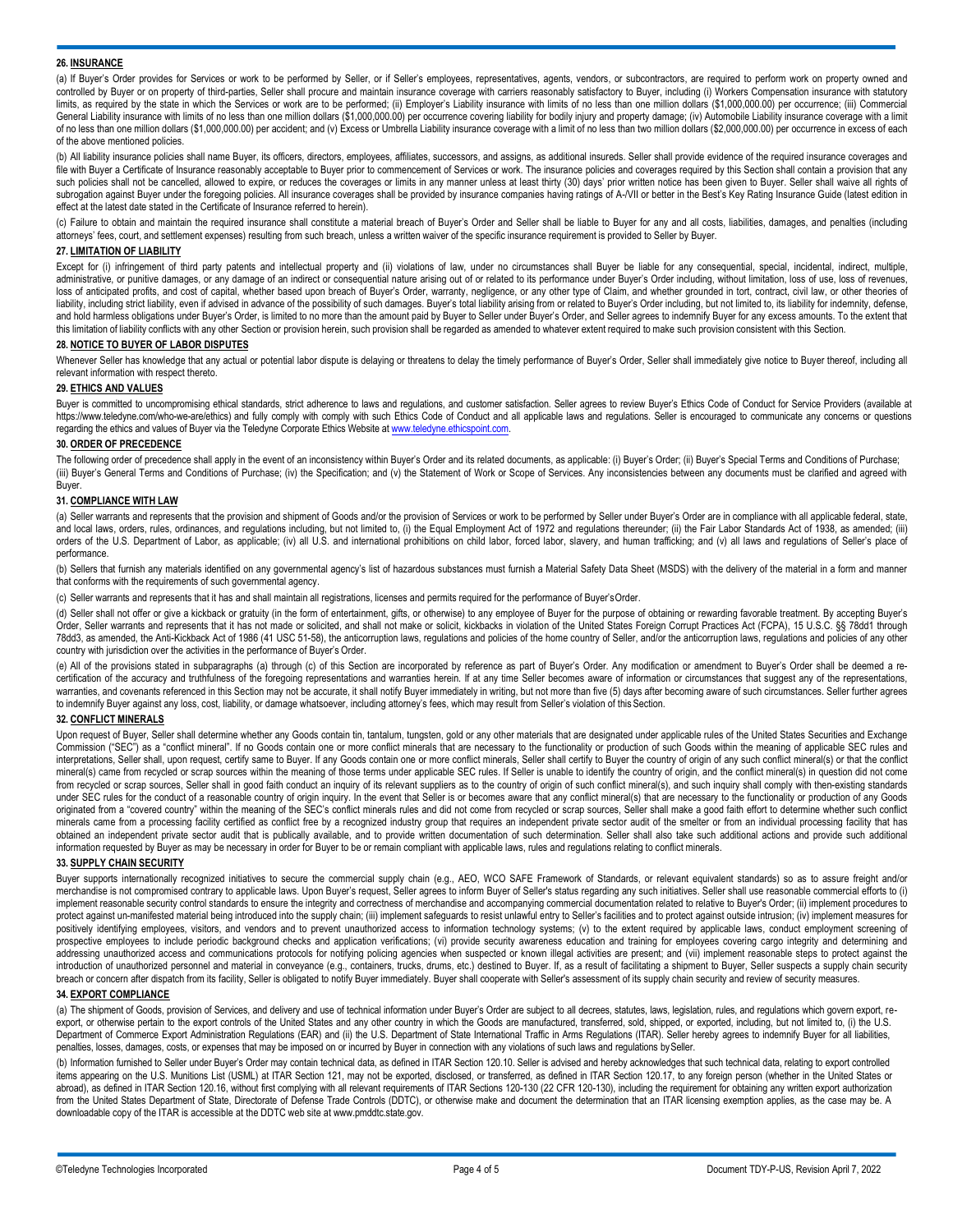### **26. INSURANCE**

(a) If Buyer's Order provides for Services or work to be performed by Seller, or if Seller's employees, representatives, agents, vendors, or subcontractors, are required to perform work on property owned and controlled by Buyer or on property of third-parties, Seller shall procure and maintain insurance coverage with carriers reasonably satisfactory to Buyer, including (i) Workers Compensation insurance with statutory limits, as required by the state in which the Services or work are to be performed; (ii) Employer's Liability insurance with limits of no less than one million dollars (\$1,000,000.00) per occurrence; (iii) Commercial General Liability insurance with limits of no less than one million dollars (\$1,000,000.00) per occurrence covering liability for bodily injury and property damage; (iv) Automobile Liability insurance coverage with a limit of no less than one million dollars (\$1,000,000.00) per accident; and (v) Excess or Umbrella Liability insurance coverage with a limit of no less than two million dollars (\$2,000,000.00) per occurrence in excess of each of the above mentioned policies.

(b) All liability insurance policies shall name Buyer, its officers, directors, employees, affiliates, successors, and assigns, as additional insureds. Seller shall provide evidence of the required insurance coverages and file with Buyer a Certificate of Insurance reasonably acceptable to Buyer prior to commencement of Services or work. The insurance policies and coverages required by this Section shall contain a provision that any such policies shall not be cancelled, allowed to expire, or reduces the coverages or limits in any manner unless at least thirty (30) days' prior written notice has been given to Buyer. Seller shall waive all rights of subrogation against Buyer under the foregoing policies. All insurance coverages shall be provided by insurance companies having ratings of A-/VII or better in the Best's Key Rating Insurance Guide (latest edition in effect at the latest date stated in the Certificate of Insurance referred to herein).

(c) Failure to obtain and maintain the required insurance shall constitute a material breach of Buyer's Order and Seller shall be liable to Buyer for any and all costs, liabilities, damages, and penalties (including attorneys' fees, court, and settlement expenses) resulting from such breach, unless a written waiver of the specific insurance requirement is provided to Seller by Buyer.

# **27. LIMITATION OF LIABILITY**

Except for (i) infringement of third party patents and intellectual property and (ii) violations of law, under no circumstances shall Buyer be liable for any consequential, special, incidental, indirect, multiple, administrative, or punitive damages, or any damage of an indirect or consequential nature arising out of or related to its performance under Buyer's Order including, without limitation, loss of use, loss of revenues, loss of anticipated profits, and cost of capital, whether based upon breach of Buyer's Order, warranty, negligence, or any other type of Claim, and whether grounded in tort, contract, civil law, or other theories of liability, including strict liability, even if advised in advance of the possibility of such damages. Buyer's total liability arising from or related to Buyer's Order including, but not limited to, its liability for indemn and hold harmless obligations under Buyer's Order, is limited to no more than the amount paid by Buyer to Seller under Buyer's Order, and Seller agrees to indemnify Buyer for any excess amounts. To the extent that this limitation of liability conflicts with any other Section or provision herein, such provision shall be regarded as amended to whatever extent required to make such provision consistent with this Section.

### **28. NOTICE TO BUYER OF LABOR DISPUTES**

Whenever Seller has knowledge that any actual or potential labor dispute is delaying or threatens to delay the timely performance of Buyer's Order, Seller shall immediately give notice to Buyer thereof, including all relevant information with respect thereto.

### **29. ETHICS AND VALUES**

Buyer is committed to uncompromising ethical standards, strict adherence to laws and regulations, and customer satisfaction. Seller agrees to review Buyer's Ethics Code of Conduct for Service Providers (available at <https://www.teledyne.com/who-we-are/ethics>) and fully comply with comply with such Ethics Code of Conduct and all applicable laws and regulations. Seller is encouraged to communicate any concerns or questions regarding the ethics and values of Buyer via the Teledyne Corporate Ethics Website at www.teledyne.ethicspoint.com.

### **30. ORDER OF PRECEDENCE**

The following order of precedence shall apply in the event of an inconsistency within Buyer's Order and its related documents, as applicable: (i) Buyer's Order; (ii) Buyer's Special Terms and Conditions of Purchase; (iii) Buyer's General Terms and Conditions of Purchase; (iv) the Specification; and (v) the Statement of Work or Scope of Services. Any inconsistencies between any documents must be clarified and agreed with Buyer.

#### **31. COMPLIANCE WITH LAW**

(a) Seller warrants and represents that the provision and shipment of Goods and/or the provision of Services or work to be performed by Seller under Buyer's Order are in compliance with all applicable federal, state, and local laws, orders, rules, ordinances, and regulations including, but not limited to, (i) the Equal Employment Act of 1972 and regulations thereunder; (ii) the Fair Labor Standards Act of 1938, as amended; (iii) orders of the U.S. Department of Labor, as applicable; (iv) all U.S. and international prohibitions on child labor, forced labor, slavery, and human trafficking; and (v) all laws and regulations of Seller's place of performance.

(b) Sellers that furnish any materials identified on any governmental agency's list of hazardous substances must furnish a Material Safety Data Sheet (MSDS) with the delivery of the material in a form and manner that conforms with the requirements of such governmental agency.

(c) Seller warrants and represents that it has and shall maintain all registrations, licenses and permits required for the performance of Buyer'sOrder.

(d) Seller shall not offer or give a kickback or gratuity (in the form of entertainment, gifts, or otherwise) to any employee of Buyer for the purpose of obtaining or rewarding favorable treatment. By accepting Buyer's Order, Seller warrants and represents that it has not made or solicited, and shall not make or solicit, kickbacks in violation of the United States Foreign Corrupt Practices Act (FCPA), 15 U.S.C. §§ 78dd1 through 78dd3, as amended, the Anti-Kickback Act of 1986 (41 USC 51-58), the anticorruption laws, regulations and policies of the home country of Seller, and/or the anticorruption laws, regulations and policies of any other country with jurisdiction over the activities in the performance of Buyer's Order.

(e) All of the provisions stated in subparagraphs (a) through (c) of this Section are incorporated by reference as part of Buyer's Order. Any modification or amendment to Buyer's Order shall be deemed a recertification of the accuracy and truthfulness of the foregoing representations and warranties herein. If at any time Seller becomes aware of information or circumstances that suggest any of the representations, warranties, and covenants referenced in this Section may not be accurate, it shall notify Buyer immediately in writing, but not more than five (5) days after becoming aware of such circumstances. Seller further agrees to indemnify Buyer against any loss, cost, liability, or damage whatsoever, including attorney's fees, which may result from Seller's violation of thisSection.

# **32. CONFLICT MINERALS**

Upon request of Buyer, Seller shall determine whether any Goods contain tin, tantalum, tungsten, gold or any other materials that are designated under applicable rules of the United States Securities and Exchange Commission ("SEC") as a "conflict mineral". If no Goods contain one or more conflict minerals that are necessary to the functionality or production of such Goods within the meaning of applicable SEC rules and interpretations, Seller shall, upon request, certify same to Buyer. If any Goods contain one or more conflict minerals, Seller shall certify to Buyer the country of origin of any such conflict mineral(s) or that the confli mineral(s) came from recycled or scrap sources within the meaning of those terms under applicable SEC rules. If Seller is unable to identify the country of origin, and the conflict mineral(s) in question did not come from recycled or scrap sources, Seller shall in good faith conduct an inquiry of its relevant suppliers as to the country of origin of such conflict mineral(s), and such inquiry shall comply with then-existing standards under SEC rules for the conduct of a reasonable country of origin inquiry. In the event that Seller is or becomes aware that any conflict mineral(s) that are necessary to the functionality or production of any Goods originated from a "covered country" within the meaning of the SEC's conflict minerals rules and did not come from recycled or scrap sources. Seller shall make a good faith effort to determine whether such conflict minerals came from a processing facility certified as conflict free by a recognized industry group that requires an independent private sector audit of the smelter or from an individual processing facility that has obtained an independent private sector audit that is publically available, and to provide written documentation of such determination. Seller shall also take such additional actions and provide such additional information requested by Buyer as may be necessary in order for Buyer to be or remain compliant with applicable laws, rules and regulations relating to conflict minerals.

# **33. SUPPLY CHAIN SECURITY**

Buyer supports internationally recognized initiatives to secure the commercial supply chain (e.g., AEO, WCO SAFE Framework of Standards, or relevant equivalent standards) so as to assure freight and/or merchandise is not compromised contrary to applicable laws. Upon Buyer's request, Seller agrees to inform Buyer of Seller's status regarding any such initiatives. Seller shall use reasonable commercial efforts to (i) implement reasonable security control standards to ensure the integrity and correctness of merchandise and accompanying commercial documentation related to relative to Buyer's Order; (ii) implement procedures to protect against un-manifested material being introduced into the supply chain; (iii) implement safeguards to resist unlawful entry to Seller's facilities and to protect against outside intrusion; (iv) implement measures fo positively identifying employees, visitors, and vendors and to prevent unauthorized access to information technology systems; (v) to the extent required by applicable laws, conduct employment screening of prospective employees to include periodic background checks and application verifications; (vi) provide security awareness education and training for employees covering cargo integrity and determining and addressing unauthorized access and communications protocols for notifying policing agencies when suspected or known illegal activities are present; and (vii) implement reasonable steps to protect against the introduction of unauthorized personnel and material in conveyance (e.g., containers, trucks, drums, etc.) destined to Buyer. If, as a result of facilitating a shipment to Buyer, Seller suspects a supply chain security breach or concern after dispatch from its facility, Seller is obligated to notify Buyer immediately. Buyer shall cooperate with Seller's assessment of its supply chain security and review of security measures.

# **34. EXPORT COMPLIANCE**

(a) The shipment of Goods, provision of Services, and delivery and use of technical information under Buyer's Order are subject to all decrees, statutes, laws, legislation, rules, and regulations which govern export, reexport, or otherwise pertain to the export controls of the United States and any other country in which the Goods are manufactured, transferred, sold, shipped, or exported, including, but not limited to, (i) the U.S. Department of Commerce Export Administration Regulations (EAR) and (ii) the U.S. Department of State International Traffic in Arms Regulations (ITAR). Seller hereby agrees to indemnify Buyer for all liabilities, penalties, losses, damages, costs, or expenses that may be imposed on or incurred by Buyer in connection with any violations of such laws and regulations bySeller.

(b) Information furnished to Seller under Buyer's Order may contain technical data, as defined in ITAR Section 120.10. Seller is advised and hereby acknowledges that such technical data, relating to export controlled items appearing on the U.S. Munitions List (USML) at ITAR Section 121, may not be exported, disclosed, or transferred, as defined in ITAR Section 120.17, to any foreign person (whether in the United States or abroad), as defined in ITAR Section 120.16, without first complying with all relevant requirements of ITAR Sections 120-130 (22 CFR 120-130), including the requirement for obtaining any written export authorization from the United States Department of State, Directorate of Defense Trade Controls (DDTC), or otherwise make and document the determination that an ITAR licensing exemption applies, as the case may be. A downloadable copy of the ITAR is accessible at the DDTC web site at [www.pmddtc.state.gov.](http://www.pmddtc.state.gov/)